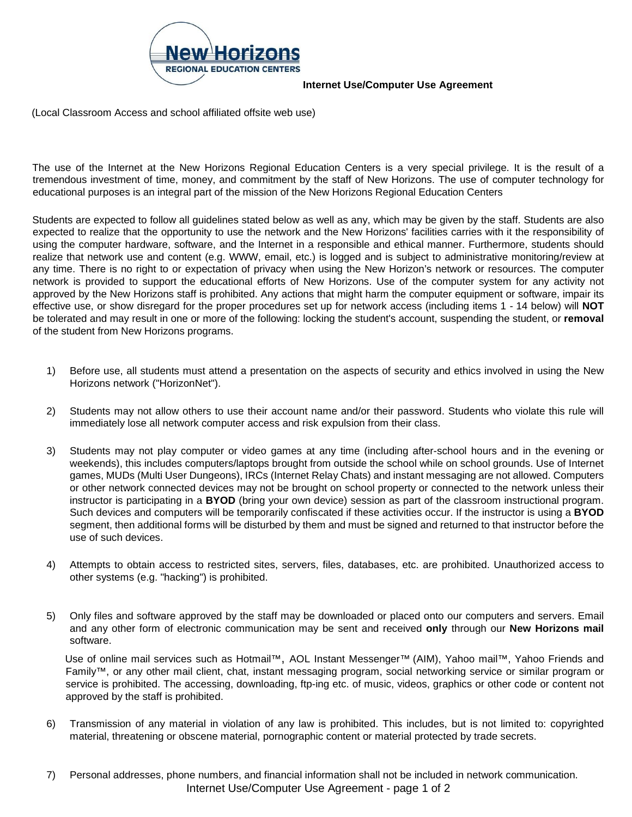

## **Internet Use/Computer Use Agreement**

(Local Classroom Access and school affiliated offsite web use)

The use of the Internet at the New Horizons Regional Education Centers is a very special privilege. It is the result of a tremendous investment of time, money, and commitment by the staff of New Horizons. The use of computer technology for educational purposes is an integral part of the mission of the New Horizons Regional Education Centers

Students are expected to follow all guidelines stated below as well as any, which may be given by the staff. Students are also expected to realize that the opportunity to use the network and the New Horizons' facilities carries with it the responsibility of using the computer hardware, software, and the Internet in a responsible and ethical manner. Furthermore, students should realize that network use and content (e.g. WWW, email, etc.) is logged and is subject to administrative monitoring/review at any time. There is no right to or expectation of privacy when using the New Horizon's network or resources. The computer network is provided to support the educational efforts of New Horizons. Use of the computer system for any activity not approved by the New Horizons staff is prohibited. Any actions that might harm the computer equipment or software, impair its effective use, or show disregard for the proper procedures set up for network access (including items 1 - 14 below) will **NOT**  be tolerated and may result in one or more of the following: locking the student's account, suspending the student, or **removal**  of the student from New Horizons programs.

- 1) Before use, all students must attend a presentation on the aspects of security and ethics involved in using the New Horizons network ("HorizonNet").
- 2) Students may not allow others to use their account name and/or their password. Students who violate this rule will immediately lose all network computer access and risk expulsion from their class.
- 3) Students may not play computer or video games at any time (including after-school hours and in the evening or weekends), this includes computers/laptops brought from outside the school while on school grounds. Use of Internet games, MUDs (Multi User Dungeons), IRCs (Internet Relay Chats) and instant messaging are not allowed. Computers or other network connected devices may not be brought on school property or connected to the network unless their instructor is participating in a **BYOD** (bring your own device) session as part of the classroom instructional program. Such devices and computers will be temporarily confiscated if these activities occur. If the instructor is using a **BYOD** segment, then additional forms will be disturbed by them and must be signed and returned to that instructor before the use of such devices.
- 4) Attempts to obtain access to restricted sites, servers, files, databases, etc. are prohibited. Unauthorized access to other systems (e.g. "hacking") is prohibited.
- 5) Only files and software approved by the staff may be downloaded or placed onto our computers and servers. Email and any other form of electronic communication may be sent and received **only** through our **New Horizons mail** software.

Use of online mail services such as Hotmail™, AOL Instant Messenger™ (AIM), Yahoo mail™, Yahoo Friends and Family™, or any other mail client, chat, instant messaging program, social networking service or similar program or service is prohibited. The accessing, downloading, ftp-ing etc. of music, videos, graphics or other code or content not approved by the staff is prohibited.

- 6) Transmission of any material in violation of any law is prohibited. This includes, but is not limited to: copyrighted material, threatening or obscene material, pornographic content or material protected by trade secrets.
- 7) Personal addresses, phone numbers, and financial information shall not be included in network communication. Internet Use/Computer Use Agreement - page 1 of 2